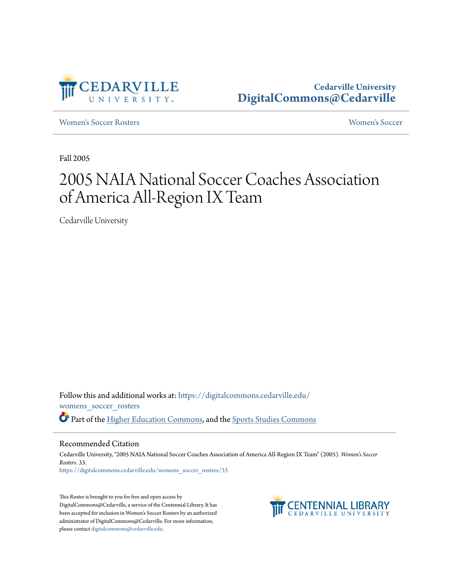

[Women's Soccer Rosters](https://digitalcommons.cedarville.edu/womens_soccer_rosters?utm_source=digitalcommons.cedarville.edu%2Fwomens_soccer_rosters%2F33&utm_medium=PDF&utm_campaign=PDFCoverPages) [Women's Soccer](https://digitalcommons.cedarville.edu/womens_soccer?utm_source=digitalcommons.cedarville.edu%2Fwomens_soccer_rosters%2F33&utm_medium=PDF&utm_campaign=PDFCoverPages)

Fall 2005

# 2005 NAIA National Soccer Coaches Association of America All-Region IX Team

Cedarville University

Follow this and additional works at: [https://digitalcommons.cedarville.edu/](https://digitalcommons.cedarville.edu/womens_soccer_rosters?utm_source=digitalcommons.cedarville.edu%2Fwomens_soccer_rosters%2F33&utm_medium=PDF&utm_campaign=PDFCoverPages) [womens\\_soccer\\_rosters](https://digitalcommons.cedarville.edu/womens_soccer_rosters?utm_source=digitalcommons.cedarville.edu%2Fwomens_soccer_rosters%2F33&utm_medium=PDF&utm_campaign=PDFCoverPages) Part of the [Higher Education Commons](http://network.bepress.com/hgg/discipline/1245?utm_source=digitalcommons.cedarville.edu%2Fwomens_soccer_rosters%2F33&utm_medium=PDF&utm_campaign=PDFCoverPages), and the [Sports Studies Commons](http://network.bepress.com/hgg/discipline/1198?utm_source=digitalcommons.cedarville.edu%2Fwomens_soccer_rosters%2F33&utm_medium=PDF&utm_campaign=PDFCoverPages)

#### Recommended Citation

Cedarville University, "2005 NAIA National Soccer Coaches Association of America All-Region IX Team" (2005). *Women's Soccer Rosters*. 33. [https://digitalcommons.cedarville.edu/womens\\_soccer\\_rosters/33](https://digitalcommons.cedarville.edu/womens_soccer_rosters/33?utm_source=digitalcommons.cedarville.edu%2Fwomens_soccer_rosters%2F33&utm_medium=PDF&utm_campaign=PDFCoverPages)

This Roster is brought to you for free and open access by DigitalCommons@Cedarville, a service of the Centennial Library. It has been accepted for inclusion in Women's Soccer Rosters by an authorized administrator of DigitalCommons@Cedarville. For more information, please contact [digitalcommons@cedarville.edu.](mailto:digitalcommons@cedarville.edu)

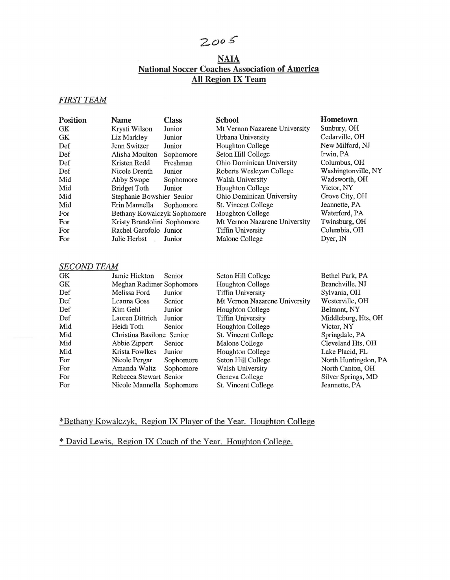## $2005$

### NAIA National Soccer Coaches Association of America All Region IX Team

#### *FIRST TEAM*

| <b>Position</b> | <b>Name</b>                 | <b>Class</b> | <b>School</b>                 | Hometown            |
|-----------------|-----------------------------|--------------|-------------------------------|---------------------|
| GK              | Krysti Wilson               | Junior       | Mt Vernon Nazarene University | Sunbury, OH         |
| GK              | Liz Markley                 | Junior       | Urbana University             | Cedarville, OH      |
| Def             | Jenn Switzer                | Junior       | Houghton College              | New Milford, NJ     |
| Def             | Alisha Moulton              | Sophomore    | Seton Hill College            | Irwin, PA           |
| Def             | Kristen Redd                | Freshman     | Ohio Dominican University     | Columbus, OH        |
| Def             | Nicole Drenth               | Junior       | Roberts Wesleyan College      | Washingtonville, NY |
| Mid             | Abby Swope                  | Sophomore    | <b>Walsh University</b>       | Wadsworth, OH       |
| Mid             | <b>Bridget Toth</b>         | Junior       | <b>Houghton College</b>       | Victor, NY          |
| Mid             | Stephanie Bowshier Senior   |              | Ohio Dominican University     | Grove City, OH      |
| Mid             | Erin Mannella               | Sophomore    | St. Vincent College           | Jeannette, PA       |
| For             | Bethany Kowalczyk Sophomore |              | Houghton College              | Waterford, PA       |
| For             | Kristy Brandolini Sophomore |              | Mt Vernon Nazarene University | Twinsburg, OH       |
| For             | Rachel Garofolo Junior      |              | <b>Tiffin University</b>      | Columbia, OH        |
| For             | Julie Herbst                | Junior       | Malone College                | Dyer, IN            |
|                 |                             |              |                               |                     |

#### *SECOND TEAM*

| GK        | Jamie Hickton             | Senior    | Seton Hill College            | Bethel Park, PA      |
|-----------|---------------------------|-----------|-------------------------------|----------------------|
| <b>GK</b> | Meghan Radimer Sophomore  |           | Houghton College              | Branchville, NJ      |
| Def       | Melissa Ford              | Junior    | <b>Tiffin University</b>      | Sylvania, OH         |
| Def       | Leanna Goss               | Senior    | Mt Vernon Nazarene University | Westerville, OH      |
| Def       | Kim Gehl                  | Junior    | Houghton College              | Belmont, NY          |
| Def       | Lauren Dittrich           | Junior    | <b>Tiffin University</b>      | Middleburg, Hts, OH  |
| Mid       | Heidi Toth                | Senior    | Houghton College              | Victor, NY           |
| Mid       | Christina Basilone Senior |           | St. Vincent College           | Springdale, PA       |
| Mid       | Abbie Zippert             | Senior    | Malone College                | Cleveland Hts, OH    |
| Mid       | Krista Fowlkes            | Junior    | Houghton College              | Lake Placid, FL      |
| For       | Nicole Pergar             | Sophomore | Seton Hill College            | North Huntingdon, PA |
| For       | Amanda Waltz              | Sophomore | Walsh University              | North Canton, OH     |
| For       | Rebecca Stewart Senior    |           | Geneva College                | Silver Springs, MD   |
| For       | Nicole Mannella Sophomore |           | St. Vincent College           | Jeannette, PA        |
|           |                           |           |                               |                      |

#### \*Bethany Kowalczyk, Region IX Player of the Year. Houghton College

\* David Lewis, Region IX Coach of the Year. Houghton College.